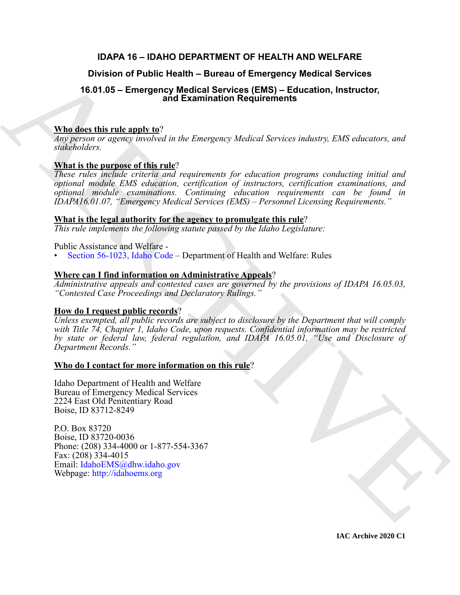# **IDAPA 16 – IDAHO DEPARTMENT OF HEALTH AND WELFARE**

# **Division of Public Health – Bureau of Emergency Medical Services**

# **16.01.05 – Emergency Medical Services (EMS) – Education, Instructor, and Examination Requirements**

# **Who does this rule apply to**?

*Any person or agency involved in the Emergency Medical Services industry, EMS educators, and stakeholders.*

# **What is the purpose of this rule**?

*These rules include criteria and requirements for education programs conducting initial and optional module EMS education, certification of instructors, certification examinations, and optional module examinations. Continuing education requirements can be found in IDAPA16.01.07, "Emergency Medical Services (EMS) – Personnel Licensing Requirements."*

# **What is the legal authority for the agency to promulgate this rule**?

*This rule implements the following statute passed by the Idaho Legislature:*

Public Assistance and Welfare -

• Section 56-1023, Idaho Code – Department of Health and Welfare: Rules

# **Where can I find information on Administrative Appeals**?

*Administrative appeals and contested cases are governed by the provisions of IDAPA 16.05.03, "Contested Case Proceedings and Declaratory Rulings."*

# **How do I request public records**?

Division of Public Health - Bureau of Emergency Medical Services<br>
16.01.05 - Emergency Medical Services (EMS) - Education, instructor,<br>
Whe does this rule angly to?<br>
Whe does this rule angly to?<br>
When the interpret of the *Unless exempted, all public records are subject to disclosure by the Department that will comply with Title 74, Chapter 1, Idaho Code, upon requests. Confidential information may be restricted by state or federal law, federal regulation, and IDAPA 16.05.01, "Use and Disclosure of Department Records."*

# **Who do I contact for more information on this rule**?

Idaho Department of Health and Welfare Bureau of Emergency Medical Services 2224 East Old Penitentiary Road Boise, ID 83712-8249

P.O. Box 83720 Boise, ID 83720-0036 Phone: (208) 334-4000 or 1-877-554-3367 Fax:  $(208)$  334-4015 Email: IdahoEMS@dhw.idaho.gov Webpage: http://idahoems.org

**IAC Archive 2020 C1**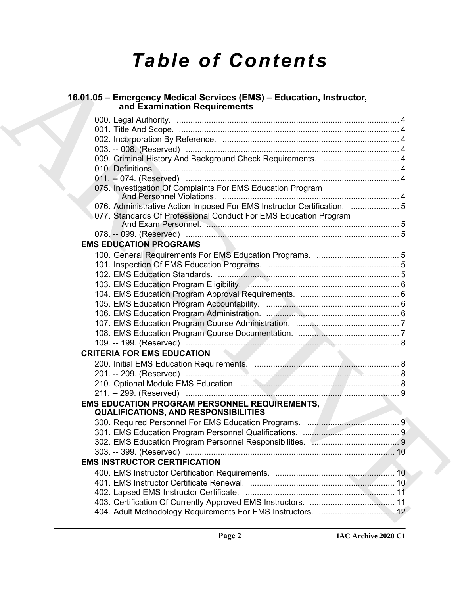# *Table of Contents*

# **16.01.05 – Emergency Medical Services (EMS) – Education, Instructor, and Examination Requirements**

| 16.01.05 - Emergency Medical Services (EMS) - Education, Instructor,<br>and Examination Requirements |
|------------------------------------------------------------------------------------------------------|
|                                                                                                      |
|                                                                                                      |
|                                                                                                      |
|                                                                                                      |
|                                                                                                      |
|                                                                                                      |
|                                                                                                      |
| 075. Investigation Of Complaints For EMS Education Program                                           |
| 076. Administrative Action Imposed For EMS Instructor Certification.  5                              |
| 077. Standards Of Professional Conduct For EMS Education Program                                     |
|                                                                                                      |
| <b>EMS EDUCATION PROGRAMS</b>                                                                        |
|                                                                                                      |
|                                                                                                      |
|                                                                                                      |
|                                                                                                      |
|                                                                                                      |
|                                                                                                      |
|                                                                                                      |
|                                                                                                      |
|                                                                                                      |
|                                                                                                      |
| <b>CRITERIA FOR EMS EDUCATION</b>                                                                    |
|                                                                                                      |
|                                                                                                      |
|                                                                                                      |
|                                                                                                      |
| EMS EDUCATION PROGRAM PERSONNEL REQUIREMENTS, And the<br><b>QUALIFICATIONS, AND RESPONSIBILITIES</b> |
|                                                                                                      |
|                                                                                                      |
|                                                                                                      |
|                                                                                                      |
| <b>EMS INSTRUCTOR CERTIFICATION</b>                                                                  |
|                                                                                                      |
|                                                                                                      |
|                                                                                                      |
|                                                                                                      |
|                                                                                                      |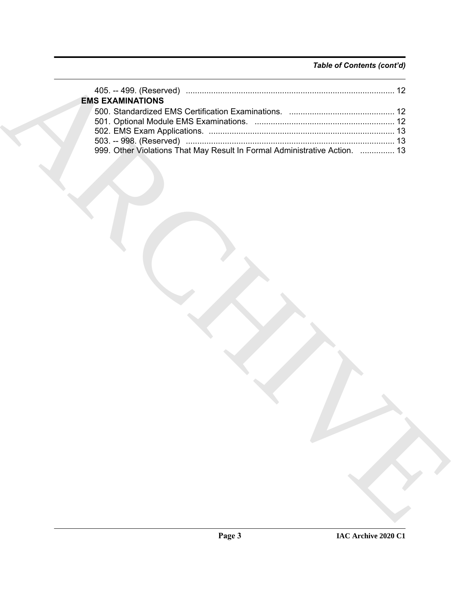# *Table of Contents (cont'd)*

| <b>EMS EXAMINATIONS</b>                                                    |
|----------------------------------------------------------------------------|
|                                                                            |
|                                                                            |
| 999. Other Violations That May Result In Formal Administrative Action.  13 |
|                                                                            |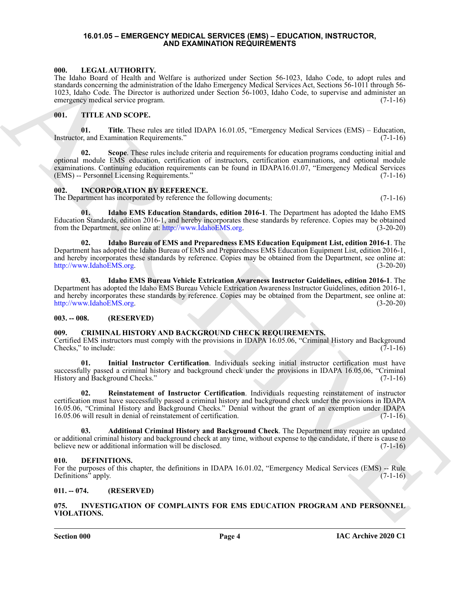### <span id="page-3-19"></span><span id="page-3-0"></span>**16.01.05 – EMERGENCY MEDICAL SERVICES (EMS) – EDUCATION, INSTRUCTOR, AND EXAMINATION REQUIREMENTS**

## <span id="page-3-1"></span>**000. LEGAL AUTHORITY.**

The Idaho Board of Health and Welfare is authorized under Section 56-1023, Idaho Code, to adopt rules and standards concerning the administration of the Idaho Emergency Medical Services Act, Sections 56-1011 through 56- 1023, Idaho Code. The Director is authorized under Section 56-1003, Idaho Code, to supervise and administer an emergency medical service program. (7-1-16)

### <span id="page-3-20"></span><span id="page-3-2"></span>**001. TITLE AND SCOPE.**

<span id="page-3-22"></span>**01. Title**. These rules are titled IDAPA 16.01.05, "Emergency Medical Services (EMS) – Education, Instructor, and Examination Requirements." (7-1-16)

<span id="page-3-21"></span>**02. Scope**. These rules include criteria and requirements for education programs conducting initial and optional module EMS education, certification of instructors, certification examinations, and optional module examinations. Continuing education requirements can be found in IDAPA16.01.07, "Emergency Medical Services (EMS) -- Personnel Licensing Requirements." (7-1-16)

## <span id="page-3-14"></span><span id="page-3-3"></span>**002. INCORPORATION BY REFERENCE.**

The Department has incorporated by reference the following documents: (7-1-16)

<span id="page-3-17"></span>**01. Idaho EMS Education Standards, edition 2016-1**. The Department has adopted the Idaho EMS Education Standards, edition 2016-1, and hereby incorporates these standards by reference. Copies may be obtained from the Department, see online at: http://www.IdahoEMS.org. (3-20-20)

<span id="page-3-16"></span><span id="page-3-15"></span>**02. Idaho Bureau of EMS and Preparedness EMS Education Equipment List, edition 2016-1**. The Department has adopted the Idaho Bureau of EMS and Preparedness EMS Education Equipment List, edition 2016-1, and hereby incorporates these standards by reference. Copies may be obtained from the Department, see online at: http://www.IdahoEMS.org. (3-20-20)

600. Laboratorius de manifesta de antenira de manifesta sinte acceles de antenir de antenir de la Constantino de la Constantino de la Constantino de la Constantino de la Constantino de la Constantino de la Constantino de **03. Idaho EMS Bureau Vehicle Extrication Awareness Instructor Guidelines, edition 2016-1**. The Department has adopted the Idaho EMS Bureau Vehicle Extrication Awareness Instructor Guidelines, edition 2016-1, and hereby incorporates these standards by reference. Copies may be obtained from the Department, see online at: http://www.IdahoEMS.org. (3-20-20)

# <span id="page-3-4"></span>**003. -- 008. (RESERVED)**

# <span id="page-3-9"></span><span id="page-3-5"></span>**009. CRIMINAL HISTORY AND BACKGROUND CHECK REQUIREMENTS.**

Certified EMS instructors must comply with the provisions in IDAPA 16.05.06, "Criminal History and Background Checks," to include:  $(7-1-16)$ 

<span id="page-3-11"></span>**01. Initial Instructor Certification**. Individuals seeking initial instructor certification must have successfully passed a criminal history and background check under the provisions in IDAPA 16.05.06, "Criminal History and Background Checks." (7-1-16)

<span id="page-3-12"></span>**02. Reinstatement of Instructor Certification**. Individuals requesting reinstatement of instructor certification must have successfully passed a criminal history and background check under the provisions in IDAPA 16.05.06, "Criminal History and Background Checks." Denial without the grant of an exemption under IDAPA 16.05.06 will result in denial of reinstatement of certification. (7-1-16)

<span id="page-3-10"></span>**03. Additional Criminal History and Background Check**. The Department may require an updated or additional criminal history and background check at any time, without expense to the candidate, if there is cause to believe new or additional information will be disclosed. (7-1-16)

### <span id="page-3-13"></span><span id="page-3-6"></span>**010. DEFINITIONS.**

For the purposes of this chapter, the definitions in IDAPA 16.01.02, "Emergency Medical Services (EMS) -- Rule<br>Definitions" apply. (7-1-16) Definitions" apply.

# <span id="page-3-7"></span>**011. -- 074. (RESERVED)**

<span id="page-3-18"></span><span id="page-3-8"></span>**075. INVESTIGATION OF COMPLAINTS FOR EMS EDUCATION PROGRAM AND PERSONNEL VIOLATIONS.**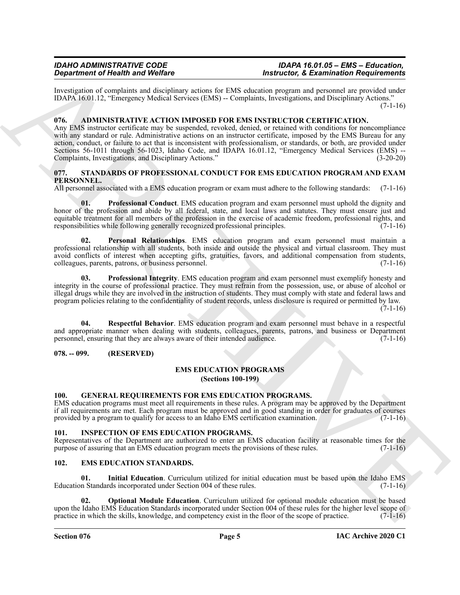Investigation of complaints and disciplinary actions for EMS education program and personnel are provided under IDAPA 16.01.12, "Emergency Medical Services (EMS) -- Complaints, Investigations, and Disciplinary Actions."  $(7-1-16)$ 

# <span id="page-4-7"></span><span id="page-4-0"></span>**076. ADMINISTRATIVE ACTION IMPOSED FOR EMS INSTRUCTOR CERTIFICATION.**

**Experiment of Neuron Sylvicides**<br> **Experiment of Neuron Sylvicides**<br>
EDMN 16:03.11. "Reasoning Multiplicary relies at EMS shows<br>the member of neuron Neuron Sylvicides (and the member of neuron neuron and Directions Actio Any EMS instructor certificate may be suspended, revoked, denied, or retained with conditions for noncompliance with any standard or rule. Administrative actions on an instructor certificate, imposed by the EMS Bureau for any action, conduct, or failure to act that is inconsistent with professionalism, or standards, or both, are provided under Sections 56-1011 through 56-1023, Idaho Code, and IDAPA 16.01.12, "Emergency Medical Services (EMS) -- Complaints, Investigations, and Disciplinary Actions." (3-20-20)

# <span id="page-4-14"></span><span id="page-4-1"></span>**077. STANDARDS OF PROFESSIONAL CONDUCT FOR EMS EDUCATION PROGRAM AND EXAM PERSONNEL.**

All personnel associated with a EMS education program or exam must adhere to the following standards: (7-1-16)

<span id="page-4-16"></span>**01. Professional Conduct**. EMS education program and exam personnel must uphold the dignity and honor of the profession and abide by all federal, state, and local laws and statutes. They must ensure just and equitable treatment for all members of the profession in the exercise of academic freedom, professional rights, and responsibilities while following generally recognized professional principles. (7-1-16)

<span id="page-4-15"></span>**02. Personal Relationships**. EMS education program and exam personnel must maintain a professional relationship with all students, both inside and outside the physical and virtual classroom. They must avoid conflicts of interest when accepting gifts, gratuities, favors, and additional compensation from students, colleagues, parents, patrons, or business personnel. (7-1-16)

<span id="page-4-17"></span>**03. Professional Integrity**. EMS education program and exam personnel must exemplify honesty and integrity in the course of professional practice. They must refrain from the possession, use, or abuse of alcohol or illegal drugs while they are involved in the instruction of students. They must comply with state and federal laws and program policies relating to the confidentiality of student records, unless disclosure is required or permitted by law.

 $(7-1-16)$ 

<span id="page-4-18"></span>**04. Respectful Behavior**. EMS education program and exam personnel must behave in a respectful and appropriate manner when dealing with students, colleagues, parents, patrons, and business or Department personnel, ensuring that they are always aware of their intended audience. (7-1-16)

### <span id="page-4-3"></span><span id="page-4-2"></span>**078. -- 099. (RESERVED)**

### <span id="page-4-8"></span>**EMS EDUCATION PROGRAMS (Sections 100-199)**

# <span id="page-4-12"></span><span id="page-4-4"></span>**100. GENERAL REQUIREMENTS FOR EMS EDUCATION PROGRAMS.**

EMS education programs must meet all requirements in these rules. A program may be approved by the Department if all requirements are met. Each program must be approved and in good standing in order for graduates of courses provided by a program to qualify for access to an Idaho EMS certification examination. (7-1-16)

### <span id="page-4-13"></span><span id="page-4-5"></span>**101. INSPECTION OF EMS EDUCATION PROGRAMS.**

Representatives of the Department are authorized to enter an EMS education facility at reasonable times for the purpose of assuring that an EMS education program meets the provisions of these rules. (7-1-16)

# <span id="page-4-9"></span><span id="page-4-6"></span>**102. EMS EDUCATION STANDARDS.**

<span id="page-4-10"></span>**01. Initial Education**. Curriculum utilized for initial education must be based upon the Idaho EMS Education Standards incorporated under Section 004 of these rules. (7-1-16)

<span id="page-4-11"></span>**02. Optional Module Education**. Curriculum utilized for optional module education must be based upon the Idaho EMS Education Standards incorporated under Section 004 of these rules for the higher level scope of practice in which the skills, knowledge, and competency exist in the floor of the scope of practice. (7-1-16)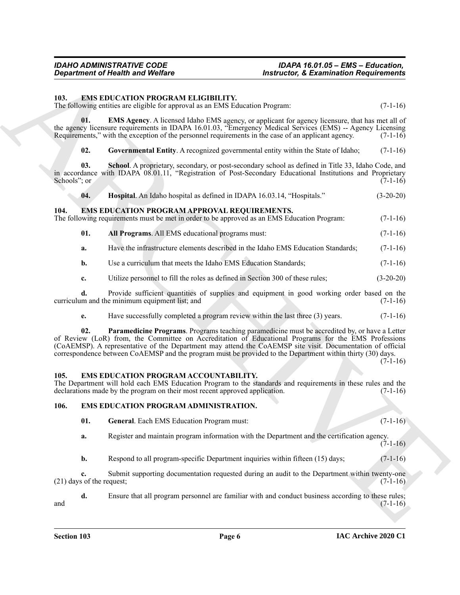<span id="page-5-10"></span><span id="page-5-0"></span>**103. EMS EDUCATION PROGRAM ELIGIBILITY.**

The following entities are eligible for approval as an EMS Education Program: (7-1-16)

**01. EMS Agency**. A licensed Idaho EMS agency, or applicant for agency licensure, that has met all of the agency licensure requirements in IDAPA 16.01.03, "Emergency Medical Services (EMS) -- Agency Licensing Requirements," with the exception of the personnel requirements in the case of an applicant agency. (7-1-16) Requirements," with the exception of the personnel requirements in the case of an applicant agency.

<span id="page-5-14"></span><span id="page-5-12"></span><span id="page-5-11"></span>**02.** Governmental Entity. A recognized governmental entity within the State of Idaho; (7-1-16)

**03. School**. A proprietary, secondary, or post-secondary school as defined in Title 33, Idaho Code, and in accordance with IDAPA 08.01.11, "Registration of Post-Secondary Educational Institutions and Proprietary Schools"; or (7-1-16) Schools"; or  $(7-1-16)$ 

<span id="page-5-13"></span><span id="page-5-7"></span>**04. Hospital**. An Idaho hospital as defined in IDAPA 16.03.14, "Hospitals." (3-20-20)

<span id="page-5-1"></span>**104. EMS EDUCATION PROGRAM APPROVAL REQUIREMENTS.** The following requirements must be met in order to be approved as an EMS Education Program: (7-1-16)

- <span id="page-5-8"></span>**01. All Programs**. All EMS educational programs must: (7-1-16)
- **a.** Have the infrastructure elements described in the Idaho EMS Education Standards; (7-1-16)
- **b.** Use a curriculum that meets the Idaho EMS Education Standards; (7-1-16)

**c.** Utilize personnel to fill the roles as defined in Section 300 of these rules; (3-20-20)

**d.** Provide sufficient quantities of supplies and equipment in good working order based on the curriculum and the minimum equipment list; and (7-1-16) (7-1-16)

<span id="page-5-9"></span>**e.** Have successfully completed a program review within the last three (3) years.  $(7-1-16)$ 

**Equivariant of Health wast Welfare**<br>
10. **EASE EDE CATED CATED ELECTION**<br>
113. **EASE EDE CATED ELECTION**<br>
113. **EASE ENETWARE REPORTED FIRENCE ARENAL ELECTION**<br>
113. **EASE ARCHIVE CATED ENERGY CONTINUES** (FIGURE 2013)<br> **02. Paramedicine Programs**. Programs teaching paramedicine must be accredited by, or have a Letter of Review (LoR) from, the Committee on Accreditation of Educational Programs for the EMS Professions (CoAEMSP). A representative of the Department may attend the CoAEMSP site visit. Documentation of official correspondence between CoAEMSP and the program must be provided to the Department within thirty (30) days.

 $(7-1-16)$ 

### <span id="page-5-4"></span><span id="page-5-2"></span>**105. EMS EDUCATION PROGRAM ACCOUNTABILITY.**

The Department will hold each EMS Education Program to the standards and requirements in these rules and the declarations made by the program on their most recent approved application. (7-1-16) declarations made by the program on their most recent approved application.

### <span id="page-5-3"></span>**106. EMS EDUCATION PROGRAM ADMINISTRATION.**

- <span id="page-5-6"></span><span id="page-5-5"></span>**01. General**. Each EMS Education Program must: (7-1-16)
- **a.** Register and maintain program information with the Department and the certification agency.  $(7-1-16)$
- **b.** Respond to all program-specific Department inquiries within fifteen (15) days; (7-1-16)

**c.** Submit supporting documentation requested during an audit to the Department within twenty-one s of the request; (7-1-16)  $(21)$  days of the request;

**d.** Ensure that all program personnel are familiar with and conduct business according to these rules; (7-1-16) and  $(7-1-16)$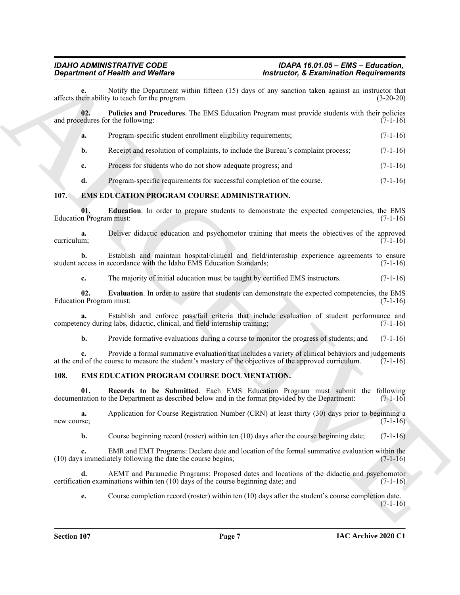| <b>Department of Health and Welfare</b> |                                                                                                                                                                                                               | <b>Instructor, &amp; Examination Requirements</b> |             |
|-----------------------------------------|---------------------------------------------------------------------------------------------------------------------------------------------------------------------------------------------------------------|---------------------------------------------------|-------------|
|                                         | Notify the Department within fifteen (15) days of any sanction taken against an instructor that<br>affects their ability to teach for the program.                                                            |                                                   | $(3-20-20)$ |
| 02.                                     | Policies and Procedures. The EMS Education Program must provide students with their policies<br>and procedures for the following:                                                                             |                                                   | $(7-1-16)$  |
| a.                                      | Program-specific student enrollment eligibility requirements;                                                                                                                                                 |                                                   | $(7-1-16)$  |
| b.                                      | Receipt and resolution of complaints, to include the Bureau's complaint process;                                                                                                                              |                                                   | $(7-1-16)$  |
| c.                                      | Process for students who do not show adequate progress; and                                                                                                                                                   |                                                   | $(7-1-16)$  |
| d.                                      | Program-specific requirements for successful completion of the course.                                                                                                                                        |                                                   | $(7-1-16)$  |
| <b>107.</b>                             | EMS EDUCATION PROGRAM COURSE ADMINISTRATION.                                                                                                                                                                  |                                                   |             |
| 01.<br><b>Education Program must:</b>   | Education. In order to prepare students to demonstrate the expected competencies, the EMS                                                                                                                     |                                                   | $(7-1-16)$  |
| a.<br>curriculum;                       | Deliver didactic education and psychomotor training that meets the objectives of the approved                                                                                                                 |                                                   | $(7-1-16)$  |
| b.                                      | Establish and maintain hospital/clinical and field/internship experience agreements to ensure<br>student access in accordance with the Idaho EMS Education Standards;                                         |                                                   | $(7-1-16)$  |
| c.                                      | The majority of initial education must be taught by certified EMS instructors.                                                                                                                                |                                                   | $(7-1-16)$  |
| 02.<br><b>Education Program must:</b>   | Evaluation. In order to assure that students can demonstrate the expected competencies, the EMS                                                                                                               |                                                   | $(7-1-16)$  |
| a.                                      | Establish and enforce pass/fail criteria that include evaluation of student performance and<br>competency during labs, didactic, clinical, and field internship training;                                     |                                                   | $(7-1-16)$  |
| b.                                      | Provide formative evaluations during a course to monitor the progress of students; and                                                                                                                        |                                                   | $(7-1-16)$  |
|                                         | Provide a formal summative evaluation that includes a variety of clinical behaviors and judgements<br>at the end of the course to measure the student's mastery of the objectives of the approved curriculum. |                                                   | $(7-1-16)$  |
| 108.                                    | EMS EDUCATION PROGRAM COURSE DOCUMENTATION.                                                                                                                                                                   |                                                   |             |
| 01.                                     | Records to be Submitted. Each EMS Education Program must submit the following<br>documentation to the Department as described below and in the format provided by the Department:                             |                                                   | $(7-1-16)$  |
| a.<br>new course;                       | Application for Course Registration Number (CRN) at least thirty (30) days prior to beginning a                                                                                                               |                                                   | $(7-1-16)$  |
| b.                                      | Course beginning record (roster) within ten (10) days after the course beginning date;                                                                                                                        |                                                   | $(7-1-16)$  |
| c.                                      | EMR and EMT Programs: Declare date and location of the formal summative evaluation within the<br>(10) days immediately following the date the course begins;                                                  |                                                   | $(7-1-16)$  |
| d.                                      | AEMT and Paramedic Programs: Proposed dates and locations of the didactic and psychomotor<br>certification examinations within ten (10) days of the course beginning date; and                                |                                                   | $(7-1-16)$  |
| e.                                      | Course completion record (roster) within ten (10) days after the student's course completion date.                                                                                                            |                                                   | $(7-1-16)$  |
|                                         |                                                                                                                                                                                                               |                                                   |             |

# <span id="page-6-4"></span><span id="page-6-3"></span><span id="page-6-2"></span><span id="page-6-0"></span>**107. EMS EDUCATION PROGRAM COURSE ADMINISTRATION.**

# <span id="page-6-7"></span><span id="page-6-6"></span><span id="page-6-5"></span><span id="page-6-1"></span>**108. EMS EDUCATION PROGRAM COURSE DOCUMENTATION.**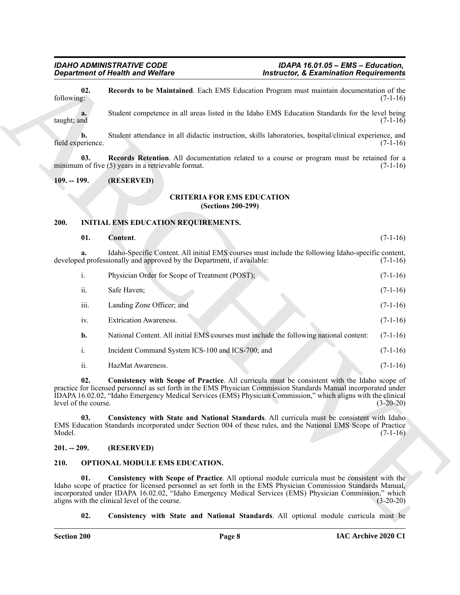## <span id="page-7-6"></span><span id="page-7-5"></span>**CRITERIA FOR EMS EDUCATION (Sections 200-299)**

# <span id="page-7-11"></span><span id="page-7-8"></span><span id="page-7-2"></span><span id="page-7-1"></span><span id="page-7-0"></span>**200. INITIAL EMS EDUCATION REQUIREMENTS.**

<span id="page-7-7"></span>

|               | <b>Department of Health and Welfare</b> |                                                                                                                                                                                                                                                                                                                                                                            | <b>Instructor, &amp; Examination Requirements</b> |  |  |
|---------------|-----------------------------------------|----------------------------------------------------------------------------------------------------------------------------------------------------------------------------------------------------------------------------------------------------------------------------------------------------------------------------------------------------------------------------|---------------------------------------------------|--|--|
| following:    | 02.                                     | Records to be Maintained. Each EMS Education Program must maintain documentation of the                                                                                                                                                                                                                                                                                    | $(7-1-16)$                                        |  |  |
| taught; and   | a.                                      | Student competence in all areas listed in the Idaho EMS Education Standards for the level being                                                                                                                                                                                                                                                                            | $(7-1-16)$                                        |  |  |
|               | b.<br>field experience.                 | Student attendance in all didactic instruction, skills laboratories, hospital/clinical experience, and                                                                                                                                                                                                                                                                     | $(7-1-16)$                                        |  |  |
|               | 03.                                     | Records Retention. All documentation related to a course or program must be retained for a<br>minimum of five (5) years in a retrievable format.                                                                                                                                                                                                                           | $(7-1-16)$                                        |  |  |
| $109. - 199.$ |                                         | (RESERVED)                                                                                                                                                                                                                                                                                                                                                                 |                                                   |  |  |
|               |                                         | <b>CRITERIA FOR EMS EDUCATION</b><br>(Sections 200-299)                                                                                                                                                                                                                                                                                                                    |                                                   |  |  |
| 200.          |                                         | <b>INITIAL EMS EDUCATION REQUIREMENTS.</b>                                                                                                                                                                                                                                                                                                                                 |                                                   |  |  |
|               | 01.                                     | Content.                                                                                                                                                                                                                                                                                                                                                                   | $(7-1-16)$                                        |  |  |
|               | a.                                      | Idaho-Specific Content. All initial EMS courses must include the following Idaho-specific content,<br>developed professionally and approved by the Department, if available:                                                                                                                                                                                               | $(7-1-16)$                                        |  |  |
|               | i.                                      | Physician Order for Scope of Treatment (POST);                                                                                                                                                                                                                                                                                                                             | $(7-1-16)$                                        |  |  |
|               | ii.                                     | Safe Haven;                                                                                                                                                                                                                                                                                                                                                                | $(7-1-16)$                                        |  |  |
|               | iii.                                    | Landing Zone Officer; and                                                                                                                                                                                                                                                                                                                                                  | $(7-1-16)$                                        |  |  |
|               | iv.                                     | <b>Extrication Awareness.</b>                                                                                                                                                                                                                                                                                                                                              | $(7-1-16)$                                        |  |  |
|               | b.                                      | National Content. All initial EMS courses must include the following national content:                                                                                                                                                                                                                                                                                     | $(7-1-16)$                                        |  |  |
|               | $\mathbf{i}$ .                          | Incident Command System ICS-100 and ICS-700; and                                                                                                                                                                                                                                                                                                                           | $(7-1-16)$                                        |  |  |
|               | ii.                                     | HazMat Awareness.                                                                                                                                                                                                                                                                                                                                                          | $(7-1-16)$                                        |  |  |
|               | 02.<br>level of the course.             | Consistency with Scope of Practice. All curricula must be consistent with the Idaho scope of<br>practice for licensed personnel as set forth in the EMS Physician Commission Standards Manual incorporated under<br>IDAPA 16.02.02, "Idaho Emergency Medical Services (EMS) Physician Commission," which aligns with the clinical                                          | $(3-20-20)$                                       |  |  |
| Model.        | 03.                                     | Consistency with State and National Standards. All curricula must be consistent with Idaho<br>EMS Education Standards incorporated under Section 004 of these rules, and the National EMS Scope of Practice                                                                                                                                                                | $(7-1-16)$                                        |  |  |
| $201. - 209.$ |                                         | (RESERVED)                                                                                                                                                                                                                                                                                                                                                                 |                                                   |  |  |
| 210.          |                                         | <b>OPTIONAL MODULE EMS EDUCATION.</b>                                                                                                                                                                                                                                                                                                                                      |                                                   |  |  |
|               | 01.                                     | Consistency with Scope of Practice. All optional module curricula must be consistent with the<br>Idaho scope of practice for licensed personnel as set forth in the EMS Physician Commission Standards Manual,<br>incorporated under IDAPA 16.02.02, "Idaho Emergency Medical Services (EMS) Physician Commission," which<br>aligns with the clinical level of the course. | $(3-20-20)$                                       |  |  |
|               | 02.                                     | Consistency with State and National Standards. All optional module curricula must be                                                                                                                                                                                                                                                                                       |                                                   |  |  |

### <span id="page-7-10"></span><span id="page-7-9"></span><span id="page-7-3"></span>**201. -- 209. (RESERVED)**

# <span id="page-7-14"></span><span id="page-7-13"></span><span id="page-7-12"></span><span id="page-7-4"></span>**210. OPTIONAL MODULE EMS EDUCATION.**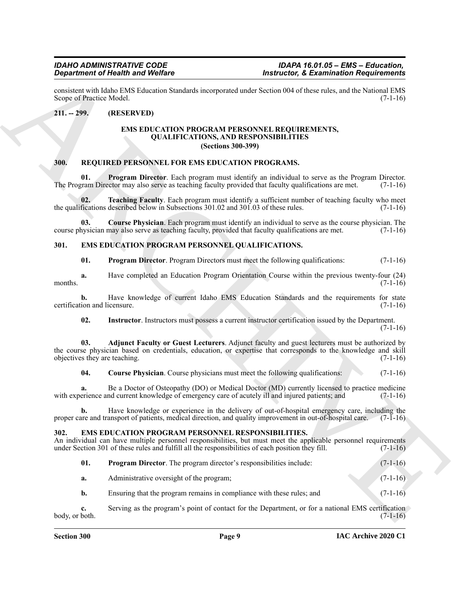consistent with Idaho EMS Education Standards incorporated under Section 004 of these rules, and the National EMS Scope of Practice Model.

### <span id="page-8-1"></span><span id="page-8-0"></span>**211. -- 299. (RESERVED)**

### <span id="page-8-15"></span><span id="page-8-10"></span>**EMS EDUCATION PROGRAM PERSONNEL REQUIREMENTS, QUALIFICATIONS, AND RESPONSIBILITIES (Sections 300-399)**

### <span id="page-8-13"></span><span id="page-8-2"></span>**300. REQUIRED PERSONNEL FOR EMS EDUCATION PROGRAMS.**

**01. Program Director**. Each program must identify an individual to serve as the Program Director.<br> **10. Program Director** may also serve as teaching faculty provided that faculty qualifications are met. (7-1-16) The Program Director may also serve as teaching faculty provided that faculty qualifications are met.

<span id="page-8-16"></span>**02. Teaching Faculty**. Each program must identify a sufficient number of teaching faculty who meet the qualifications described below in Subsections 301.02 and 301.03 of these rules. (7-1-16)

**03. Course Physician**. Each program must identify an individual to serve as the course physician. The nysician may also serve as teaching faculty, provided that faculty qualifications are met. (7-1-16) course physician may also serve as teaching faculty, provided that faculty qualifications are met.

### <span id="page-8-3"></span>**301. EMS EDUCATION PROGRAM PERSONNEL QUALIFICATIONS.**

<span id="page-8-14"></span><span id="page-8-9"></span><span id="page-8-5"></span>**01. Program Director**. Program Directors must meet the following qualifications: (7-1-16)

**a.** Have completed an Education Program Orientation Course within the previous twenty-four (24) months.  $(7-1-16)$ 

**b.** Have knowledge of current Idaho EMS Education Standards and the requirements for state ion and licensure. (7-1-16) certification and licensure.

<span id="page-8-8"></span><span id="page-8-6"></span>**02. Instructor**. Instructors must possess a current instructor certification issued by the Department.  $(7-1-16)$ 

**Experimental New York School And The Control Control Control Control Control Control Control Control Control Control Control Control Control Control Control Control Control Control Control Control Control Control Control 03. Adjunct Faculty or Guest Lecturers**. Adjunct faculty and guest lecturers must be authorized by the course physician based on credentials, education, or expertise that corresponds to the knowledge and skill objectives they are teaching. (7-1-16)

<span id="page-8-7"></span>**04.** Course Physician. Course physicians must meet the following qualifications: (7-1-16)

**a.** Be a Doctor of Osteopathy (DO) or Medical Doctor (MD) currently licensed to practice medicine erience and current knowledge of emergency care of acutely ill and injured patients; and (7-1-16) with experience and current knowledge of emergency care of acutely ill and injured patients; and

**b.** Have knowledge or experience in the delivery of out-of-hospital emergency care, including the proper care and transport of patients, medical direction, and quality improvement in out-of-hospital care. (7-1-16)

### <span id="page-8-11"></span><span id="page-8-4"></span>**302. EMS EDUCATION PROGRAM PERSONNEL RESPONSIBILITIES.**

An individual can have multiple personnel responsibilities, but must meet the applicable personnel requirements under Section 301 of these rules and fulfill all the responsibilities of each position they fill. (7-1-16)

<span id="page-8-12"></span>

| <b>Program Director.</b> The program director's responsibilities include: | $(7-1-16)$ |
|---------------------------------------------------------------------------|------------|
| Administrative oversight of the program;                                  | $(7-1-16)$ |

**b.** Ensuring that the program remains in compliance with these rules; and (7-1-16)

**c.** Serving as the program's point of contact for the Department, or for a national EMS certification  $body, or both.$  (7-1-16)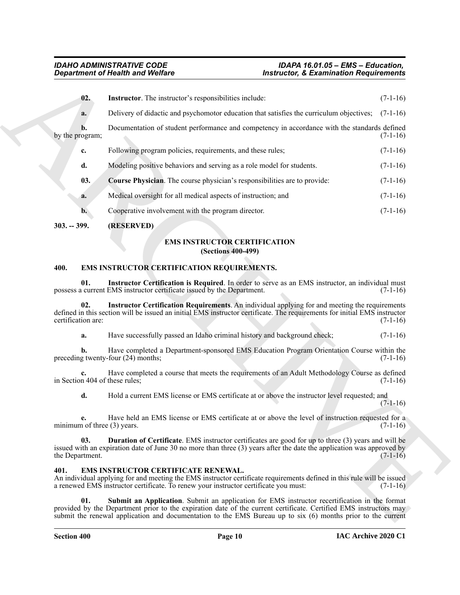<span id="page-9-5"></span>

| <b>Department of Health and Welfare</b> |                                                                                                                                                                                                                                                       | <b>Instructor, &amp; Examination Requirements</b> |            |
|-----------------------------------------|-------------------------------------------------------------------------------------------------------------------------------------------------------------------------------------------------------------------------------------------------------|---------------------------------------------------|------------|
| 02.                                     | Instructor. The instructor's responsibilities include:                                                                                                                                                                                                |                                                   | $(7-1-16)$ |
| a.                                      | Delivery of didactic and psychomotor education that satisfies the curriculum objectives;                                                                                                                                                              |                                                   | $(7-1-16)$ |
| b.<br>by the program;                   | Documentation of student performance and competency in accordance with the standards defined                                                                                                                                                          |                                                   | $(7-1-16)$ |
| c.                                      | Following program policies, requirements, and these rules;                                                                                                                                                                                            |                                                   | $(7-1-16)$ |
| d.                                      | Modeling positive behaviors and serving as a role model for students.                                                                                                                                                                                 |                                                   | $(7-1-16)$ |
| 03.                                     | Course Physician. The course physician's responsibilities are to provide:                                                                                                                                                                             |                                                   | $(7-1-16)$ |
| a.                                      | Medical oversight for all medical aspects of instruction; and                                                                                                                                                                                         |                                                   | $(7-1-16)$ |
| $\mathbf{b}$ .                          | Cooperative involvement with the program director.                                                                                                                                                                                                    |                                                   | $(7-1-16)$ |
| $303. - 399.$                           | (RESERVED)                                                                                                                                                                                                                                            |                                                   |            |
|                                         | <b>EMS INSTRUCTOR CERTIFICATION</b><br><b>(Sections 400-499)</b>                                                                                                                                                                                      |                                                   |            |
| 400.                                    | EMS INSTRUCTOR CERTIFICATION REQUIREMENTS.                                                                                                                                                                                                            |                                                   |            |
| 01.                                     | Instructor Certification is Required. In order to serve as an EMS instructor, an individual must<br>possess a current EMS instructor certificate issued by the Department.                                                                            |                                                   | $(7-1-16)$ |
| 02.<br>certification are:               | Instructor Certification Requirements. An individual applying for and meeting the requirements<br>defined in this section will be issued an initial EMS instructor certificate. The requirements for initial EMS instructor                           |                                                   | $(7-1-16)$ |
| a.                                      | Have successfully passed an Idaho criminal history and background check;                                                                                                                                                                              |                                                   | $(7-1-16)$ |
| b.                                      | Have completed a Department-sponsored EMS Education Program Orientation Course within the<br>preceding twenty-four (24) months;                                                                                                                       |                                                   | $(7-1-16)$ |
| in Section 404 of these rules;          | Have completed a course that meets the requirements of an Adult Methodology Course as defined                                                                                                                                                         |                                                   | $(7-1-16)$ |
| d.                                      | Hold a current EMS license or EMS certificate at or above the instructor level requested; and                                                                                                                                                         |                                                   | $(7-1-16)$ |
| e.<br>minimum of three (3) years.       | Have held an EMS license or EMS certificate at or above the level of instruction requested for a                                                                                                                                                      |                                                   | $(7-1-16)$ |
| 03.<br>the Department.                  | <b>Duration of Certificate.</b> EMS instructor certificates are good for up to three (3) years and will be<br>issued with an expiration date of June 30 no more than three (3) years after the date the application was approved by                   |                                                   | $(7-1-16)$ |
| 401.                                    | EMS INSTRUCTOR CERTIFICATE RENEWAL.<br>An individual applying for and meeting the EMS instructor certificate requirements defined in this rule will be issued<br>a renewed EMS instructor certificate. To renew your instructor certificate you must: |                                                   | $(7-1-16)$ |
|                                         |                                                                                                                                                                                                                                                       |                                                   |            |

# <span id="page-9-4"></span><span id="page-9-1"></span><span id="page-9-0"></span>**303. -- 399. (RESERVED)**

# <span id="page-9-8"></span>**EMS INSTRUCTOR CERTIFICATION (Sections 400-499)**

## <span id="page-9-12"></span><span id="page-9-11"></span><span id="page-9-9"></span><span id="page-9-2"></span>**400. EMS INSTRUCTOR CERTIFICATION REQUIREMENTS.**

# <span id="page-9-10"></span><span id="page-9-7"></span><span id="page-9-6"></span><span id="page-9-3"></span>**401. EMS INSTRUCTOR CERTIFICATE RENEWAL.**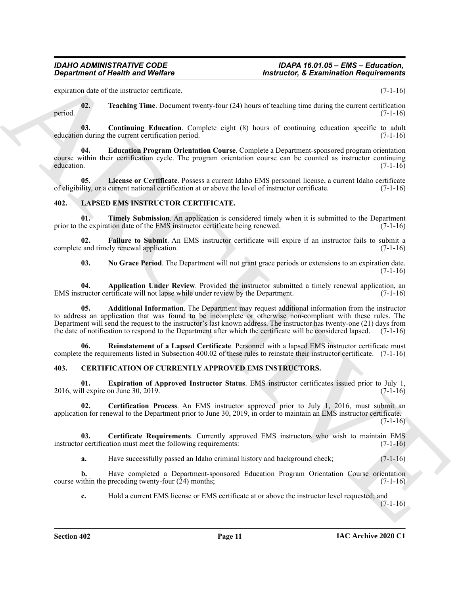expiration date of the instructor certificate. (7-1-16)

<span id="page-10-9"></span>**02. Teaching Time**. Document twenty-four (24) hours of teaching time during the current certification period.  $(7-1-16)$ 

<span id="page-10-6"></span>**03.** Continuing Education. Complete eight (8) hours of continuing education specific to adult n during the current certification period. (7-1-16) education during the current certification period.

<span id="page-10-7"></span>**04. Education Program Orientation Course**. Complete a Department-sponsored program orientation course within their certification cycle. The program orientation course can be counted as instructor continuing education. (7-1-16) education.  $(7-1-16)$ 

<span id="page-10-8"></span>**05. License or Certificate**. Possess a current Idaho EMS personnel license, a current Idaho certificate of eligibility, or a current national certification at or above the level of instructor certificate. (7-1-16)

# <span id="page-10-10"></span><span id="page-10-0"></span>**402. LAPSED EMS INSTRUCTOR CERTIFICATE.**

<span id="page-10-16"></span>**01. Timely Submission**. An application is considered timely when it is submitted to the Department prior to the expiration date of the EMS instructor certificate being renewed.  $(7-1-16)$ 

**02.** Failure to Submit. An EMS instructor certificate will expire if an instructor fails to submit a cand timely renewal application. (7-1-16) complete and timely renewal application.

<span id="page-10-14"></span><span id="page-10-13"></span><span id="page-10-12"></span><span id="page-10-11"></span>**03. No Grace Period**. The Department will not grant grace periods or extensions to an expiration date.  $(7-1-16)$ 

**04. Application Under Review**. Provided the instructor submitted a timely renewal application, an EMS instructor certificate will not lapse while under review by the Department. (7-1-16)

**Equation of Nically is and Wolfins**<br>
someone distance of *Resultation* Counter the state is the state of the state of the state of  $\mathbb{R}$  and  $\mathbb{R}$ <br>
specific the state is the state of the state of the state of the s **05. Additional Information**. The Department may request additional information from the instructor to address an application that was found to be incomplete or otherwise non-compliant with these rules. The Department will send the request to the instructor's last known address. The instructor has twenty-one (21) days from the date of notification to respond to the Department after which the certificate will be considered lapsed. (7-1-16)

<span id="page-10-15"></span>**06. Reinstatement of a Lapsed Certificate**. Personnel with a lapsed EMS instructor certificate must complete the requirements listed in Subsection 400.02 of these rules to reinstate their instructor certificate. (7-1-16)

# <span id="page-10-2"></span><span id="page-10-1"></span>**403. CERTIFICATION OF CURRENTLY APPROVED EMS INSTRUCTORS.**

<span id="page-10-5"></span>**01. Expiration of Approved Instructor Status**. EMS instructor certificates issued prior to July 1, 2016, will expire on June 30, 2019. (7-1-16)

<span id="page-10-4"></span>**02. Certification Process**. An EMS instructor approved prior to July 1, 2016, must submit an application for renewal to the Department prior to June 30, 2019, in order to maintain an EMS instructor certificate.

 $(7-1-16)$ 

**03. Certificate Requirements**. Currently approved EMS instructors who wish to maintain EMS instructor certification must meet the following requirements: (7-1-16)

<span id="page-10-3"></span>**a.** Have successfully passed an Idaho criminal history and background check;  $(7-1-16)$ 

**b.** Have completed a Department-sponsored Education Program Orientation Course orientation course within the preceding twenty-four  $(24)$  months; (7-1-16)

**c.** Hold a current EMS license or EMS certificate at or above the instructor level requested; and

 $(7-1-16)$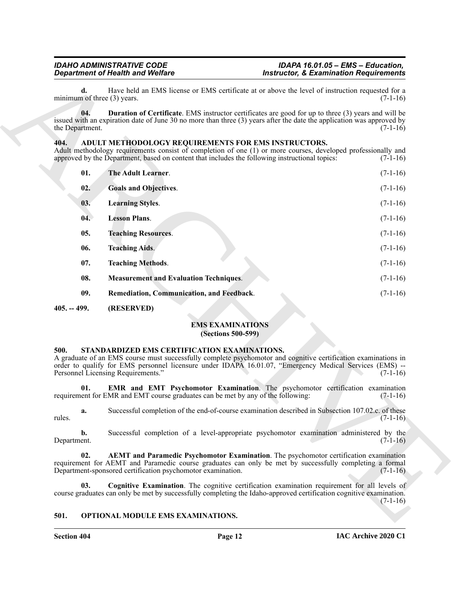## <span id="page-11-15"></span><span id="page-11-14"></span><span id="page-11-13"></span><span id="page-11-11"></span><span id="page-11-8"></span><span id="page-11-7"></span><span id="page-11-6"></span><span id="page-11-5"></span><span id="page-11-0"></span>**404. ADULT METHODOLOGY REQUIREMENTS FOR EMS INSTRUCTORS.**

| <b>Department of Health and Welfare</b><br>d.<br>minimum of three (3) years. |                                                                                                                                                       | <b>Instructor, &amp; Examination Requirements</b>                                                                                                                                                                                   |            |
|------------------------------------------------------------------------------|-------------------------------------------------------------------------------------------------------------------------------------------------------|-------------------------------------------------------------------------------------------------------------------------------------------------------------------------------------------------------------------------------------|------------|
|                                                                              |                                                                                                                                                       | Have held an EMS license or EMS certificate at or above the level of instruction requested for a<br>$(7-1-16)$                                                                                                                      |            |
| 04.<br>the Department.                                                       |                                                                                                                                                       | <b>Duration of Certificate.</b> EMS instructor certificates are good for up to three (3) years and will be<br>issued with an expiration date of June 30 no more than three (3) years after the date the application was approved by | $(7-1-16)$ |
| 404.                                                                         | ADULT METHODOLOGY REQUIREMENTS FOR EMS INSTRUCTORS.<br>approved by the Department, based on content that includes the following instructional topics: | Adult methodology requirements consist of completion of one (1) or more courses, developed professionally and                                                                                                                       | $(7-1-16)$ |
| 01.                                                                          | The Adult Learner.                                                                                                                                    |                                                                                                                                                                                                                                     | $(7-1-16)$ |
| 02.                                                                          | <b>Goals and Objectives.</b>                                                                                                                          |                                                                                                                                                                                                                                     | $(7-1-16)$ |
| 03.                                                                          | <b>Learning Styles.</b>                                                                                                                               |                                                                                                                                                                                                                                     | $(7-1-16)$ |
| 04.                                                                          | <b>Lesson Plans.</b>                                                                                                                                  |                                                                                                                                                                                                                                     | $(7-1-16)$ |
| 05.                                                                          | <b>Teaching Resources.</b>                                                                                                                            |                                                                                                                                                                                                                                     | $(7-1-16)$ |
| 06.                                                                          | <b>Teaching Aids.</b>                                                                                                                                 |                                                                                                                                                                                                                                     | $(7-1-16)$ |
| 07.                                                                          | <b>Teaching Methods.</b>                                                                                                                              |                                                                                                                                                                                                                                     | $(7-1-16)$ |
| 08.                                                                          | <b>Measurement and Evaluation Techniques.</b>                                                                                                         |                                                                                                                                                                                                                                     | $(7-1-16)$ |
| 09.                                                                          | Remediation, Communication, and Feedback.                                                                                                             |                                                                                                                                                                                                                                     | $(7-1-16)$ |
| $405. - 499.$                                                                | (RESERVED)                                                                                                                                            |                                                                                                                                                                                                                                     |            |
|                                                                              |                                                                                                                                                       | <b>EMS EXAMINATIONS</b><br><b>(Sections 500-599)</b>                                                                                                                                                                                |            |
| 500.                                                                         | STANDARDIZED EMS CERTIFICATION EXAMINATIONS.<br>Personnel Licensing Requirements."                                                                    | A graduate of an EMS course must successfully complete psychomotor and cognitive certification examinations in<br>order to qualify for EMS personnel licensure under IDAPA 16.01.07, "Emergency Medical Services (EMS) --           | $(7-1-16)$ |
| 01.                                                                          | requirement for EMR and EMT course graduates can be met by any of the following:                                                                      | EMR and EMT Psychomotor Examination. The psychomotor certification examination                                                                                                                                                      | $(7-1-16)$ |
| a.<br>rules.                                                                 |                                                                                                                                                       | Successful completion of the end-of-course examination described in Subsection 107.02.c. of these                                                                                                                                   | $(7-1-16)$ |
| b.<br>Department.                                                            |                                                                                                                                                       | Successful completion of a level-appropriate psychomotor examination administered by the                                                                                                                                            | $(7-1-16)$ |
| 02.                                                                          | Department-sponsored certification psychomotor examination.                                                                                           | <b>AEMT</b> and Paramedic Psychomotor Examination. The psychomotor certification examination<br>requirement for AEMT and Paramedic course graduates can only be met by successfully completing a formal                             | $(7-1-16)$ |
| 03.                                                                          |                                                                                                                                                       | Cognitive Examination. The cognitive certification examination requirement for all levels of<br>course graduates can only be met by successfully completing the Idaho-approved certification cognitive examination.                 | $(7-1-16)$ |
|                                                                              | OPTIONAL MODULE EMS EXAMINATIONS.                                                                                                                     |                                                                                                                                                                                                                                     |            |

# <span id="page-11-16"></span><span id="page-11-12"></span>**EMS EXAMINATIONS (Sections 500-599)**

### <span id="page-11-21"></span><span id="page-11-18"></span><span id="page-11-10"></span><span id="page-11-9"></span><span id="page-11-3"></span><span id="page-11-2"></span><span id="page-11-1"></span>**500. STANDARDIZED EMS CERTIFICATION EXAMINATIONS.**

### <span id="page-11-20"></span><span id="page-11-19"></span><span id="page-11-17"></span><span id="page-11-4"></span>**501. OPTIONAL MODULE EMS EXAMINATIONS.**

**Section 404 Page 12**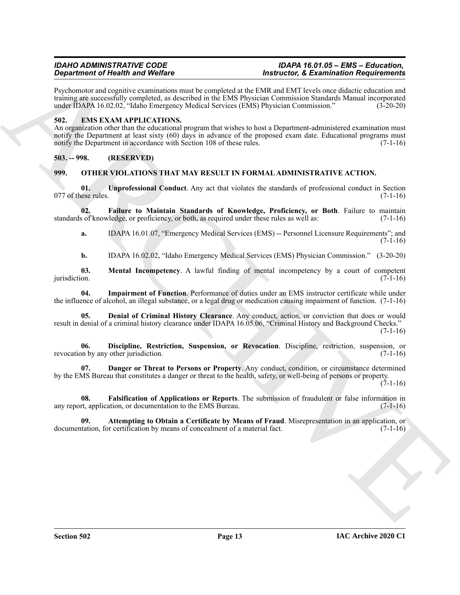**Experiment of Neutrino Wolfres**<br>
Experiment of Neutrino Wolfress Constant and the State of Experiment Order State Scheme (1988)<br>
The State Scheme of Scheme Constant and Scheme Constant Constant Constant and Scheme Consta Psychomotor and cognitive examinations must be completed at the EMR and EMT levels once didactic education and training are successfully completed, as described in the EMS Physician Commission Standards Manual incorporated under IDAPA 16.02.02, "Idaho Emergency Medical Services (EMS) Physician Commission." (3-20-20)

# <span id="page-12-3"></span><span id="page-12-0"></span>**502. EMS EXAM APPLICATIONS.**

An organization other than the educational program that wishes to host a Department-administered examination must notify the Department at least sixty (60) days in advance of the proposed exam date. Educational programs must notify the Department in accordance with Section 108 of these rules. (7-1-16)

<span id="page-12-1"></span>**503. -- 998. (RESERVED)**

# <span id="page-12-13"></span><span id="page-12-4"></span><span id="page-12-2"></span>**999. OTHER VIOLATIONS THAT MAY RESULT IN FORMAL ADMINISTRATIVE ACTION.**

**01. Unprofessional Conduct**. Any act that violates the standards of professional conduct in Section  $077$  of these rules.  $(7-1-16)$ 

**02. Failure to Maintain Standards of Knowledge, Proficiency, or Both**. Failure to maintain standards of knowledge, or proficiency, or both, as required under these rules as well as: (7-1-16)

<span id="page-12-9"></span>**a.** IDAPA 16.01.07, "Emergency Medical Services (EMS) -- Personnel Licensure Requirements"; and  $(7-1-16)$ 

<span id="page-12-12"></span><span id="page-12-11"></span>**b.** IDAPA 16.02.02, "Idaho Emergency Medical Services (EMS) Physician Commission." (3-20-20)

**03.** Mental Incompetency. A lawful finding of mental incompetency by a court of competent jurisdiction. (7-1-16)  $j$ urisdiction.  $(7-1-16)$ 

**04. Impairment of Function**. Performance of duties under an EMS instructor certificate while under the influence of alcohol, an illegal substance, or a legal drug or medication causing impairment of function. (7-1-16)

<span id="page-12-7"></span>**05. Denial of Criminal History Clearance**. Any conduct, action, or conviction that does or would result in denial of a criminal history clearance under IDAPA 16.05.06, "Criminal History and Background Checks."  $(7-1-16)$ 

<span id="page-12-8"></span>**06. Discipline, Restriction, Suspension, or Revocation**. Discipline, restriction, suspension, or revocation by any other jurisdiction. (7-1-16)

<span id="page-12-6"></span>**07. Danger or Threat to Persons or Property**. Any conduct, condition, or circumstance determined by the EMS Bureau that constitutes a danger or threat to the health, safety, or well-being of persons or property.  $(7-1-16)$ 

<span id="page-12-10"></span>**08. Falsification of Applications or Reports**. The submission of fraudulent or false information in any report, application, or documentation to the EMS Bureau. (7-1-16)

<span id="page-12-5"></span>**09. Attempting to Obtain a Certificate by Means of Fraud**. Misrepresentation in an application, or tation. for certification by means of concealment of a material fact. (7-1-16) documentation, for certification by means of concealment of a material fact.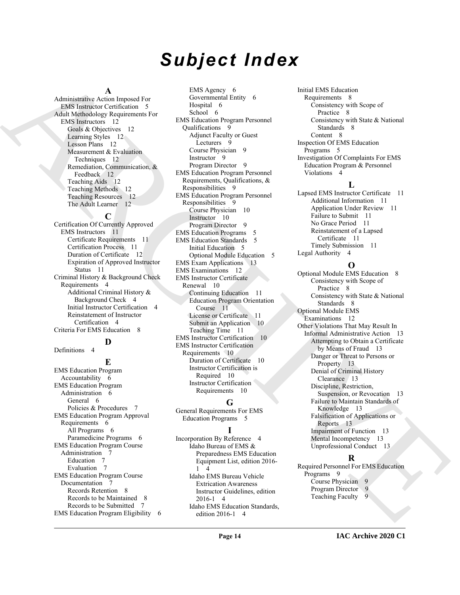# *Subject Index*

# **A**

Administrative Action Imposed For EMS Instructor Certification 5 Adult Methodology Requirements For EMS Instructors 12 Goals & Objectives 12 Learning Styles 12 Lesson Plans 12 Measurement & Evaluation Techniques 12 Remediation, Communication, & Feedback 12 Teaching Aids 12 Teaching Methods 12 Teaching Resources 12 The Adult Learner 12

## **C**

Certification Of Currently Approved EMS Instructors 11 Certificate Requirements 11 Certification Process 11 Duration of Certificate 12 Expiration of Approved Instructor Status 11 Criminal History & Background Check Requirements 4 Additional Criminal History & Background Check 4 Initial Instructor Certification 4 Reinstatement of Instructor Certification 4 Criteria For EMS Education 8

# **D**

Definitions 4

### **E**

EMS Education Program Accountability 6 EMS Education Program Administration 6 General 6 Policies & Procedures 7 EMS Education Program Approval Requirements 6 All Programs 6 Paramedicine Programs 6 EMS Education Program Course Administration 7 Education 7 Evaluation 7 EMS Education Program Course Documentation 7 Records Retention 8 Records to be Maintained 8 Records to be Submitted 7 EMS Education Program Eligibility 6

[A](#page-4-7)dministrative Collections of the Company of the Collection of the Collection of the Collection of the Collection of the Collection of the Collection of the Collection of the Collection of the Collection of the Collection EMS Agency 6 Governmental Entity 6 Hospital 6 School 6 EMS Education Program Personnel Qualifications 9 Adjunct Faculty or Guest Lecturers 9 Course Physician 9 Instructor 9 Program Director 9 EMS Education Program Personnel Requirements, Qualifications, & Responsibilities 9 EMS Education Program Personnel Responsibilities 9 Course Physician 10 Instructor 10 Program Director 9 EMS Education Programs 5 EMS Education Standards 5 Initial Education 5 Optional Module Education 5 EMS Exam Applications 13 EMS Examinations 12 EMS Instructor Certificate Renewal 10 Continuing Education 11 Education Program Orientation Course 11 License or Certificate 11 Submit an Application 10 Teaching Time 11 EMS Instructor Certification 10 EMS Instructor Certification Requirements 10 Duration of Certificate 10 Instructor Certification is Required 10 Instructor Certification Requirements 10

# **G**

General Requirements For EMS Education Programs 5

# **I**

Incorporation By Reference 4 Idaho Bureau of EMS & Preparedness EMS Education Equipment List, edition 2016- 1 4 Idaho EMS Bureau Vehicle Extrication Awareness Instructor Guidelines, edition 2016-1 4 Idaho EMS Education Standards, edition 2016-1 4

Initial EMS Education Requirements 8 Consistency with Scope of Practice 8 Consistency with State & National Standards 8 Content 8 Inspection Of EMS Education Programs 5 Investigation Of Complaints For EMS Education Program & Personnel Violations 4

## **L**

Lapsed EMS Instructor Certificate 11 Additional Information 11 Application Under Review 11 Failure to Submit 11 No Grace Period 11 Reinstatement of a Lapsed Certificate 11 Timely Submission 11 Legal Authority 4

# **O**

Optional Module EMS Education 8 Consistency with Scope of Practice 8 Consistency with State & National Standards 8 Optional Module EMS Examinations 12 Other Violations That May Result In Informal Administrative Action 13 Attempting to Obtain a Certificate by Means of Fraud 13 Danger or Threat to Persons or Property 13 Denial of Criminal History Clearance 13 Discipline, Restriction, Suspension, or Revocation 13 Failure to Maintain Standards of Knowledge 13 Falsification of Applications or Reports 13 Impairment of Function 13 Mental Incompetency 13 Unprofessional Conduct 13

### **R**

Required Personnel For EMS Education Programs<sub>9</sub> Course Physician 9 Program Director 9<br>Teaching Faculty 9 Teaching Faculty 9